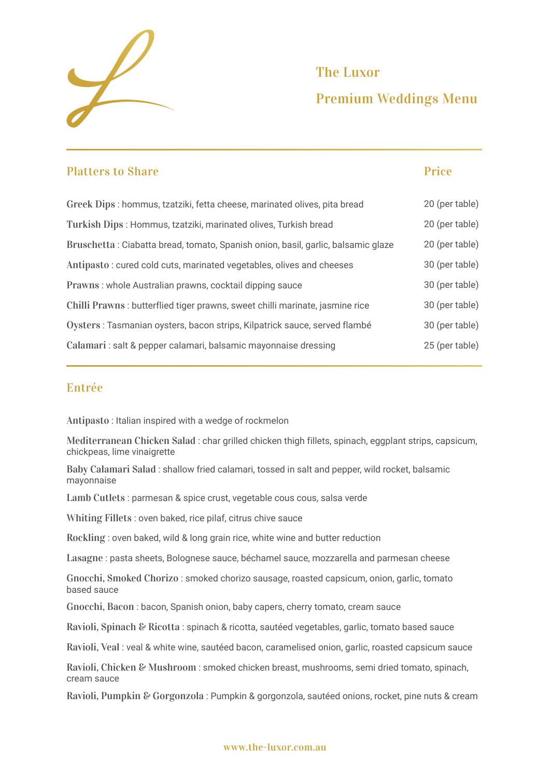

# Premium Weddings Menu The Luxor

| <b>Platters to Share</b>                                                         | <b>Price</b>   |
|----------------------------------------------------------------------------------|----------------|
| Greek Dips : hommus, tzatziki, fetta cheese, marinated olives, pita bread        | 20 (per table) |
| Turkish Dips : Hommus, tzatziki, marinated olives, Turkish bread                 | 20 (per table) |
| Bruschetta: Ciabatta bread, tomato, Spanish onion, basil, garlic, balsamic glaze | 20 (per table) |
| Antipasto: cured cold cuts, marinated vegetables, olives and cheeses             | 30 (per table) |
| Prawns: whole Australian prawns, cocktail dipping sauce                          | 30 (per table) |
| Chilli Prawns : butterflied tiger prawns, sweet chilli marinate, jasmine rice    | 30 (per table) |
| Oysters : Tasmanian oysters, bacon strips, Kilpatrick sauce, served flambé       | 30 (per table) |
| Calamari : salt & pepper calamari, balsamic mayonnaise dressing                  | 25 (per table) |

### Entrée

Antipasto : Italian inspired with a wedge of rockmelon

Mediterranean Chicken Salad : char grilled chicken thigh fillets, spinach, eggplant strips, capsicum, chickpeas, lime vinaigrette

Baby Calamari Salad : shallow fried calamari, tossed in salt and pepper, wild rocket, balsamic mayonnaise

Lamb Cutlets : parmesan & spice crust, vegetable cous cous, salsa verde

Whiting Fillets : oven baked, rice pilaf, citrus chive sauce

Rockling : oven baked, wild & long grain rice, white wine and butter reduction

Lasagne : pasta sheets, Bolognese sauce, béchamel sauce, mozzarella and parmesan cheese

Gnocchi, Smoked Chorizo : smoked chorizo sausage, roasted capsicum, onion, garlic, tomato based sauce

Gnocchi, Bacon : bacon, Spanish onion, baby capers, cherry tomato, cream sauce

Ravioli, Spinach & Ricotta : spinach & ricotta, sautéed vegetables, garlic, tomato based sauce

Ravioli, Veal : veal & white wine, sautéed bacon, caramelised onion, garlic, roasted capsicum sauce

Ravioli, Chicken & Mushroom : smoked chicken breast, mushrooms, semi dried tomato, spinach, cream sauce

Ravioli, Pumpkin & Gorgonzola : Pumpkin & gorgonzola, sautéed onions, rocket, pine nuts & cream

#### www.the-luxor.com.au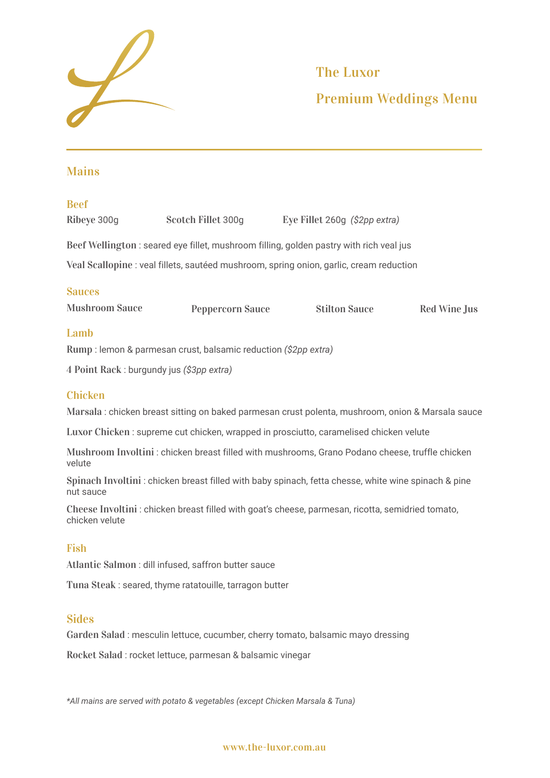

# Premium Weddings Menu The Luxor

# Mains

#### Beef

| Ribeye 300g | Scotch Fillet 300g | Eye Fillet 260g $(\$2pp \text{ extra})$                                                |
|-------------|--------------------|----------------------------------------------------------------------------------------|
|             |                    | Beef Wellington: seared eye fillet, mushroom filling, golden pastry with rich veal jus |

Veal Scallopine : veal fillets, sautéed mushroom, spring onion, garlic, cream reduction

### Sauces

| <b>Mushroom Sauce</b>         | <b>Peppercorn Sauce</b> | <b>Stilton Sauce</b> | <b>Red Wine Jus</b> |
|-------------------------------|-------------------------|----------------------|---------------------|
| $\mathbf{I}$ and $\mathbf{L}$ |                         |                      |                     |

### Lamb

Rump : lemon & parmesan crust, balsamic reduction *(\$2pp extra)*

4 Point Rack : burgundy jus *(\$3pp extra)*

### Chicken

Marsala : chicken breast sitting on baked parmesan crust polenta, mushroom, onion & Marsala sauce

Luxor Chicken : supreme cut chicken, wrapped in prosciutto, caramelised chicken velute

Mushroom Involtini : chicken breast filled with mushrooms, Grano Podano cheese, truffle chicken velute

Spinach Involtini : chicken breast filled with baby spinach, fetta chesse, white wine spinach & pine nut sauce

Cheese Involtini : chicken breast filled with goat's cheese, parmesan, ricotta, semidried tomato, chicken velute

### Fish

Atlantic Salmon : dill infused, saffron butter sauce

Tuna Steak : seared, thyme ratatouille, tarragon butter

### **Sides**

Garden Salad : mesculin lettuce, cucumber, cherry tomato, balsamic mayo dressing

Rocket Salad : rocket lettuce, parmesan & balsamic vinegar

*\*All mains are served with potato & vegetables (except Chicken Marsala & Tuna)*